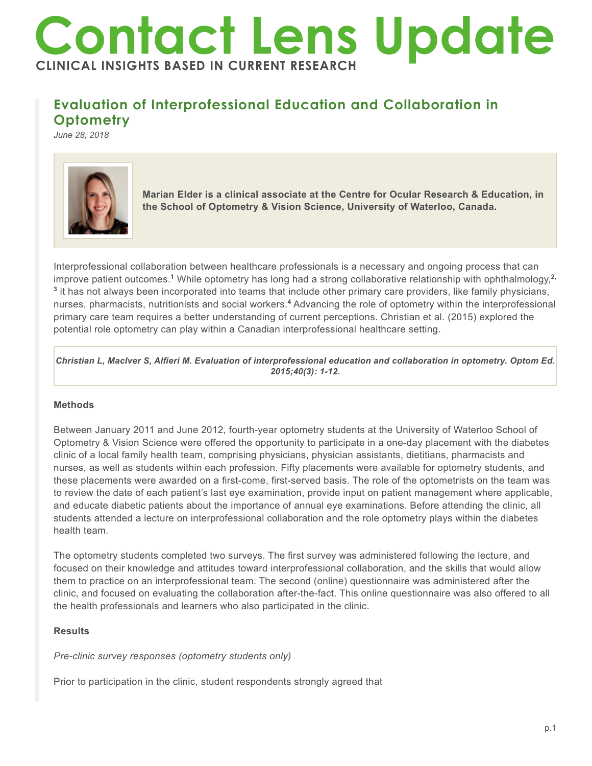# **Contact Lens Update CLINICAL INSIGHTS BASED IN CURRENT RESEARCH**

# **Evaluation of Interprofessional Education and Collaboration in Optometry**

*June 28, 2018*



**Marian Elder is a clinical associate at the Centre for Ocular Research & Education, in the School of Optometry & Vision Science, University of Waterloo, Canada.**

Interprofessional collaboration between healthcare professionals is a necessary and ongoing process that can improve patient outcomes.**<sup>1</sup>** While optometry has long had a strong collaborative relationship with ophthalmology,**2, 3** it has not always been incorporated into teams that include other primary care providers, like family physicians, nurses, pharmacists, nutritionists and social workers.**<sup>4</sup>** Advancing the role of optometry within the interprofessional primary care team requires a better understanding of current perceptions. Christian et al. (2015) explored the potential role optometry can play within a Canadian interprofessional healthcare setting.

*Christian L, MacIver S, Alfieri M. Evaluation of interprofessional education and collaboration in optometry. Optom Ed. 2015;40(3): 1-12.*

# **Methods**

Between January 2011 and June 2012, fourth-year optometry students at the University of Waterloo School of Optometry & Vision Science were offered the opportunity to participate in a one-day placement with the diabetes clinic of a local family health team, comprising physicians, physician assistants, dietitians, pharmacists and nurses, as well as students within each profession. Fifty placements were available for optometry students, and these placements were awarded on a first-come, first-served basis. The role of the optometrists on the team was to review the date of each patient's last eye examination, provide input on patient management where applicable, and educate diabetic patients about the importance of annual eye examinations. Before attending the clinic, all students attended a lecture on interprofessional collaboration and the role optometry plays within the diabetes health team.

The optometry students completed two surveys. The first survey was administered following the lecture, and focused on their knowledge and attitudes toward interprofessional collaboration, and the skills that would allow them to practice on an interprofessional team. The second (online) questionnaire was administered after the clinic, and focused on evaluating the collaboration after-the-fact. This online questionnaire was also offered to all the health professionals and learners who also participated in the clinic.

# **Results**

# *Pre-clinic survey responses (optometry students only)*

Prior to participation in the clinic, student respondents strongly agreed that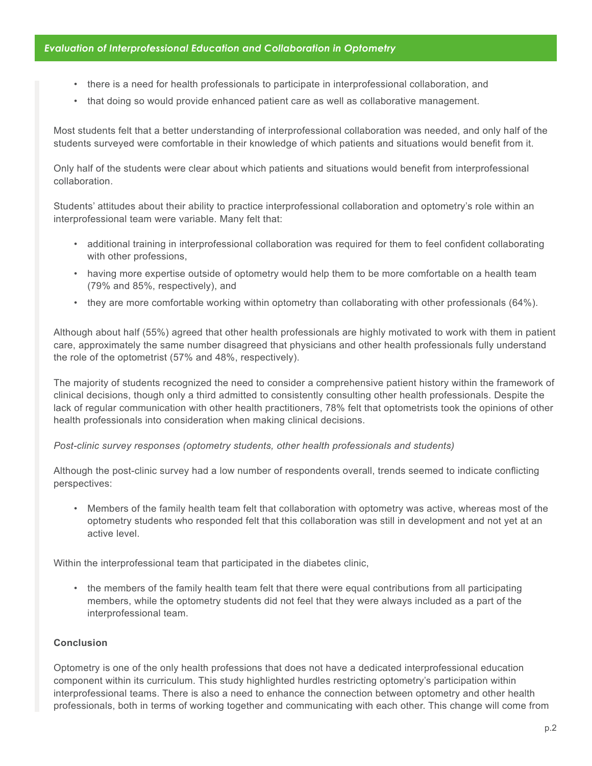# *Evaluation of Interprofessional Education and Collaboration in Optometry*

- there is a need for health professionals to participate in interprofessional collaboration, and
- that doing so would provide enhanced patient care as well as collaborative management.

Most students felt that a better understanding of interprofessional collaboration was needed, and only half of the students surveyed were comfortable in their knowledge of which patients and situations would benefit from it.

Only half of the students were clear about which patients and situations would benefit from interprofessional collaboration.

Students' attitudes about their ability to practice interprofessional collaboration and optometry's role within an interprofessional team were variable. Many felt that:

- additional training in interprofessional collaboration was required for them to feel confident collaborating with other professions,
- having more expertise outside of optometry would help them to be more comfortable on a health team (79% and 85%, respectively), and
- they are more comfortable working within optometry than collaborating with other professionals (64%).

Although about half (55%) agreed that other health professionals are highly motivated to work with them in patient care, approximately the same number disagreed that physicians and other health professionals fully understand the role of the optometrist (57% and 48%, respectively).

The majority of students recognized the need to consider a comprehensive patient history within the framework of clinical decisions, though only a third admitted to consistently consulting other health professionals. Despite the lack of regular communication with other health practitioners, 78% felt that optometrists took the opinions of other health professionals into consideration when making clinical decisions.

### *Post-clinic survey responses (optometry students, other health professionals and students)*

Although the post-clinic survey had a low number of respondents overall, trends seemed to indicate conflicting perspectives:

• Members of the family health team felt that collaboration with optometry was active, whereas most of the optometry students who responded felt that this collaboration was still in development and not yet at an active level.

Within the interprofessional team that participated in the diabetes clinic,

• the members of the family health team felt that there were equal contributions from all participating members, while the optometry students did not feel that they were always included as a part of the interprofessional team.

### **Conclusion**

Optometry is one of the only health professions that does not have a dedicated interprofessional education component within its curriculum. This study highlighted hurdles restricting optometry's participation within interprofessional teams. There is also a need to enhance the connection between optometry and other health professionals, both in terms of working together and communicating with each other. This change will come from